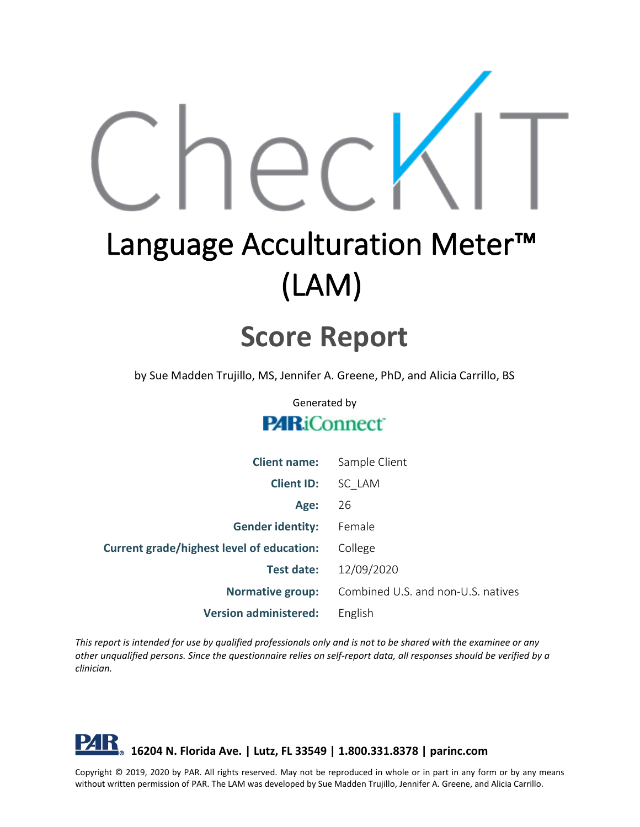

# Language Acculturation Meter<sup>™</sup> (LAM)

## **Score Report**

by Sue Madden Trujillo, MS, Jennifer A. Greene, PhD, and Alicia Carrillo, BS

Generated by

#### **PARiConnect**

| <b>Client name:</b>                              | Sample Client                      |
|--------------------------------------------------|------------------------------------|
| <b>Client ID:</b>                                | SC LAM                             |
| Age:                                             | 26                                 |
| <b>Gender identity:</b>                          | Female                             |
| <b>Current grade/highest level of education:</b> | College                            |
| <b>Test date:</b>                                | 12/09/2020                         |
| <b>Normative group:</b>                          | Combined U.S. and non-U.S. natives |
| <b>Version administered:</b>                     | English                            |

*This report is intended for use by qualified professionals only and is not to be shared with the examinee or any other unqualified persons. Since the questionnaire relies on self-report data, all responses should be verified by a clinician.*

#### PAR **16204 N. Florida Ave. | Lutz, FL 33549 | 1.800.331.8378 | parinc.com**

Copyright © 2019, 2020 by PAR. All rights reserved. May not be reproduced in whole or in part in any form or by any means without written permission of PAR. The LAM was developed by Sue Madden Trujillo, Jennifer A. Greene, and Alicia Carrillo.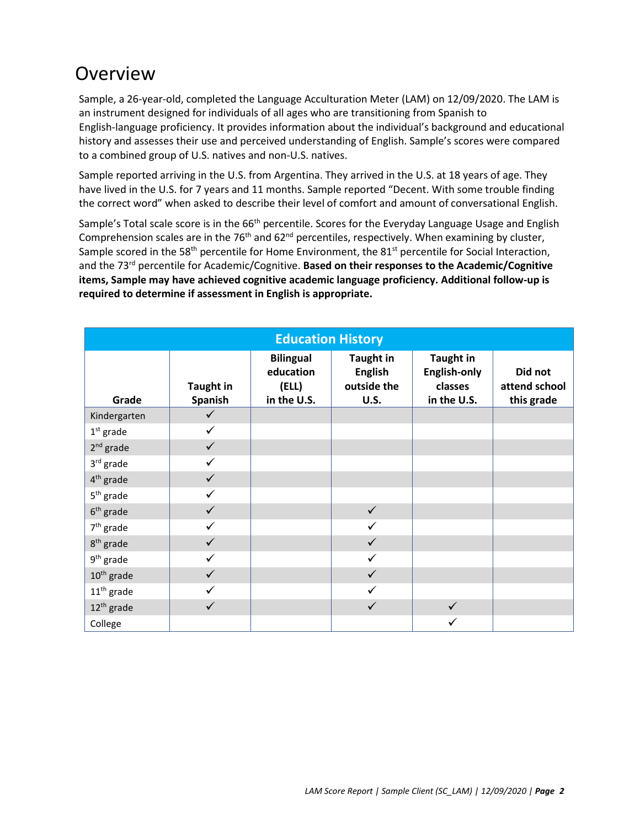## Overview

Sample, a 26-year-old, completed the Language Acculturation Meter (LAM) on 12/09/2020. The LAM is an instrument designed for individuals of all ages who are transitioning from Spanish to English-language proficiency. It provides information about the individual's background and educational history and assesses their use and perceived understanding of English. Sample's scores were compared to a combined group of U.S. natives and non-U.S. natives.

Sample reported arriving in the U.S. from Argentina. They arrived in the U.S. at 18 years of age. They have lived in the U.S. for 7 years and 11 months. Sample reported "Decent. With some trouble finding the correct word" when asked to describe their level of comfort and amount of conversational English.

Sample's Total scale score is in the 66<sup>th</sup> percentile. Scores for the Everyday Language Usage and English Comprehension scales are in the 76<sup>th</sup> and 62<sup>nd</sup> percentiles, respectively. When examining by cluster, Sample scored in the 58<sup>th</sup> percentile for Home Environment, the 81<sup>st</sup> percentile for Social Interaction, and the 73rd percentile for Academic/Cognitive. **Based on their responses to the Academic/Cognitive items, Sample may have achieved cognitive academic language proficiency. Additional follow-up is required to determine if assessment in English is appropriate.**

| <b>Education History</b> |                             |                                                       |                                                                  |                                                                   |                                        |  |  |
|--------------------------|-----------------------------|-------------------------------------------------------|------------------------------------------------------------------|-------------------------------------------------------------------|----------------------------------------|--|--|
| Grade                    | <b>Taught in</b><br>Spanish | <b>Bilingual</b><br>education<br>(ELL)<br>in the U.S. | <b>Taught in</b><br><b>English</b><br>outside the<br><b>U.S.</b> | <b>Taught in</b><br><b>English-only</b><br>classes<br>in the U.S. | Did not<br>attend school<br>this grade |  |  |
| Kindergarten             | $\checkmark$                |                                                       |                                                                  |                                                                   |                                        |  |  |
| $1st$ grade              | $\checkmark$                |                                                       |                                                                  |                                                                   |                                        |  |  |
| $2nd$ grade              | $\checkmark$                |                                                       |                                                                  |                                                                   |                                        |  |  |
| 3rd grade                | ✓                           |                                                       |                                                                  |                                                                   |                                        |  |  |
| 4 <sup>th</sup> grade    | $\checkmark$                |                                                       |                                                                  |                                                                   |                                        |  |  |
| $5th$ grade              |                             |                                                       |                                                                  |                                                                   |                                        |  |  |
| $6th$ grade              | $\checkmark$                |                                                       | $\checkmark$                                                     |                                                                   |                                        |  |  |
| $7th$ grade              | $\checkmark$                |                                                       |                                                                  |                                                                   |                                        |  |  |
| 8 <sup>th</sup> grade    | $\checkmark$                |                                                       | ✓                                                                |                                                                   |                                        |  |  |
| $9th$ grade              | ✓                           |                                                       | $\checkmark$                                                     |                                                                   |                                        |  |  |
| $10th$ grade             | $\checkmark$                |                                                       | $\checkmark$                                                     |                                                                   |                                        |  |  |
| $11th$ grade             |                             |                                                       |                                                                  |                                                                   |                                        |  |  |
| 12 <sup>th</sup> grade   | ✓                           |                                                       |                                                                  | $\checkmark$                                                      |                                        |  |  |
| College                  |                             |                                                       |                                                                  |                                                                   |                                        |  |  |